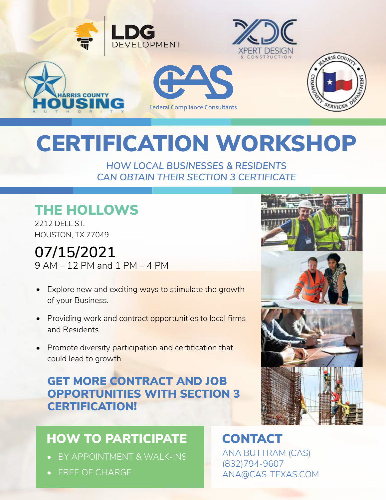

# CERTIFICATION WORKSHOP

*HOW LOCAL BUSINESSES & RESIDENTS CAN OBTAIN THEIR SECTION 3 CERTIFICATE* 

## THE HOLLOWS

2212 DELL ST. HOUSTON, TX 77049

**07/15/2021** 9 AM – 12 PM and 1 PM – 4 PM

- Explore new and exciting ways to stimulate the growth of your Business.
- Providing work and contract opportunities to local firms and Residents.
- Promote diversity participation and certification that could lead to growth.

### GET MORE CONTRACT AND JOB OPPORTUNITIES WITH SECTION 3 CERTIFICATION!

### HOW TO PARTICIPATE

- BY APPOINTMENT & WALK-INS
- FREE OF CHARGE



#### CONTACT ANA BUTTRAM (CAS) (832)794-9607 ANA@CAS-TEXAS.COM